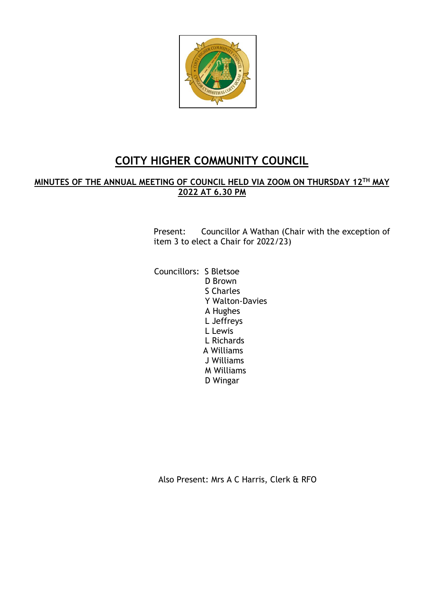

# **COITY HIGHER COMMUNITY COUNCIL**

## **MINUTES OF THE ANNUAL MEETING OF COUNCIL HELD VIA ZOOM ON THURSDAY 12 TH MAY 2022 AT 6.30 PM**

Present: Councillor A Wathan (Chair with the exception of item 3 to elect a Chair for 2022/23)

 Councillors: S Bletsoe D Brown S Charles Y Walton-Davies A Hughes L Jeffreys L Lewis L Richards A Williams J Williams M Williams D Wingar

Also Present: Mrs A C Harris, Clerk & RFO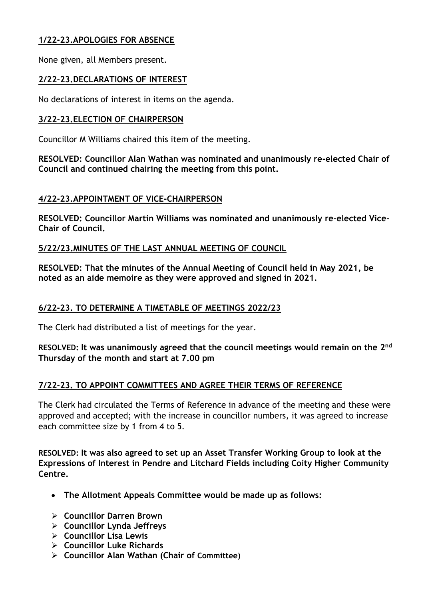## **1/22-23.APOLOGIES FOR ABSENCE**

None given, all Members present.

## **2/22-23.DECLARATIONS OF INTEREST**

No declarations of interest in items on the agenda.

#### **3/22-23.ELECTION OF CHAIRPERSON**

Councillor M Williams chaired this item of the meeting.

**RESOLVED: Councillor Alan Wathan was nominated and unanimously re-elected Chair of Council and continued chairing the meeting from this point.**

#### **4/22-23.APPOINTMENT OF VICE-CHAIRPERSON**

**RESOLVED: Councillor Martin Williams was nominated and unanimously re-elected Vice-Chair of Council.**

#### **5/22/23.MINUTES OF THE LAST ANNUAL MEETING OF COUNCIL**

**RESOLVED: That the minutes of the Annual Meeting of Council held in May 2021, be noted as an aide memoire as they were approved and signed in 2021.**

## **6/22-23. TO DETERMINE A TIMETABLE OF MEETINGS 2022/23**

The Clerk had distributed a list of meetings for the year.

RESOLVED: It was unanimously agreed that the council meetings would remain on the 2<sup>nd</sup> **Thursday of the month and start at 7.00 pm**

## **7/22-23. TO APPOINT COMMITTEES AND AGREE THEIR TERMS OF REFERENCE**

The Clerk had circulated the Terms of Reference in advance of the meeting and these were approved and accepted; with the increase in councillor numbers, it was agreed to increase each committee size by 1 from 4 to 5.

**RESOLVED: It was also agreed to set up an Asset Transfer Working Group to look at the Expressions of Interest in Pendre and Litchard Fields including Coity Higher Community Centre.**

- **The Allotment Appeals Committee would be made up as follows:**
- ➢ **Councillor Darren Brown**
- ➢ **Councillor Lynda Jeffreys**
- ➢ **Councillor Lisa Lewis**
- ➢ **Councillor Luke Richards**
- ➢ **Councillor Alan Wathan (Chair of Committee)**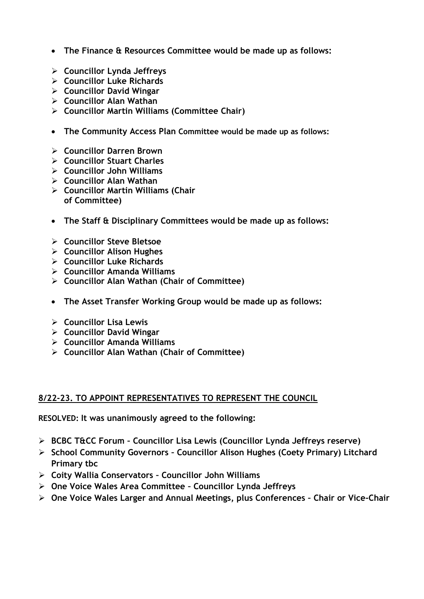- **The Finance & Resources Committee would be made up as follows:**
- ➢ **Councillor Lynda Jeffreys**
- ➢ **Councillor Luke Richards**
- ➢ **Councillor David Wingar**
- ➢ **Councillor Alan Wathan**
- ➢ **Councillor Martin Williams (Committee Chair)**
- **The Community Access Plan Committee would be made up as follows:**
- ➢ **Councillor Darren Brown**
- ➢ **Councillor Stuart Charles**
- ➢ **Councillor John Williams**
- ➢ **Councillor Alan Wathan**
- ➢ **Councillor Martin Williams (Chair of Committee)**
- **The Staff & Disciplinary Committees would be made up as follows:**
- ➢ **Councillor Steve Bletsoe**
- ➢ **Councillor Alison Hughes**
- ➢ **Councillor Luke Richards**
- ➢ **Councillor Amanda Williams**
- ➢ **Councillor Alan Wathan (Chair of Committee)**
- **The Asset Transfer Working Group would be made up as follows:**
- ➢ **Councillor Lisa Lewis**
- ➢ **Councillor David Wingar**
- ➢ **Councillor Amanda Williams**
- ➢ **Councillor Alan Wathan (Chair of Committee)**

## **8/22-23. TO APPOINT REPRESENTATIVES TO REPRESENT THE COUNCIL**

**RESOLVED: It was unanimously agreed to the following:**

- ➢ **BCBC T&CC Forum – Councillor Lisa Lewis (Councillor Lynda Jeffreys reserve)**
- ➢ **School Community Governors – Councillor Alison Hughes (Coety Primary) Litchard Primary tbc**
- ➢ **Coity Wallia Conservators – Councillor John Williams**
- ➢ **One Voice Wales Area Committee – Councillor Lynda Jeffreys**
- ➢ **One Voice Wales Larger and Annual Meetings, plus Conferences – Chair or Vice-Chair**